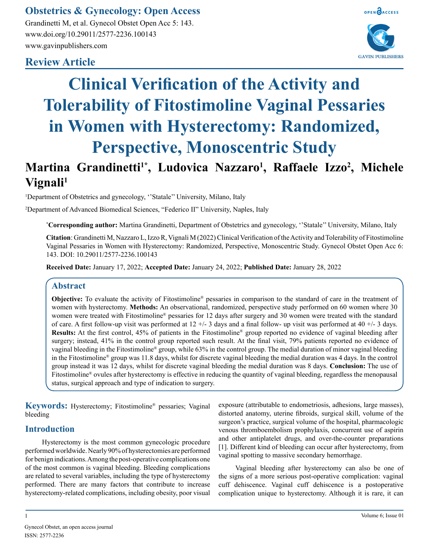## **Obstetrics & Gynecology: Open Access**

Grandinetti M, et al. Gynecol Obstet Open Acc 5: 143. www.doi.org/10.29011/2577-2236.100143 www.gavinpublishers.com

### **Review Article**





# **Clinical Verification of the Activity and Tolerability of Fitostimoline Vaginal Pessaries in Women with Hysterectomy: Randomized, Perspective, Monoscentric Study**

# **Martina Grandinetti1\*, Ludovica Nazzaro<sup>1</sup> , Raffaele Izzo<sup>2</sup> , Michele Vignali<sup>1</sup>**

<sup>1</sup>Department of Obstetrics and gynecology, "Statale" University, Milano, Italy

2 Department of Advanced Biomedical Sciences, "Federico II" University, Naples, Italy

**\* Corresponding author:** Martina Grandinetti, Department of Obstetrics and gynecology, ''Statale'' University, Milano, Italy

**Citation**: Grandinetti M, Nazzaro L, Izzo R, Vignali M (2022) Clinical Verification of the Activity and Tolerability of Fitostimoline Vaginal Pessaries in Women with Hysterectomy: Randomized, Perspective, Monoscentric Study. Gynecol Obstet Open Acc 6: 143. DOI: 10.29011/2577-2236.100143

**Received Date:** January 17, 2022; **Accepted Date:** January 24, 2022; **Published Date:** January 28, 2022

#### **Abstract**

**Objective:** To evaluate the activity of Fitostimoline<sup>®</sup> pessaries in comparison to the standard of care in the treatment of women with hysterectomy. **Methods:** An observational, randomized, perspective study performed on 60 women where 30 women were treated with Fitostimoline® pessaries for 12 days after surgery and 30 women were treated with the standard of care. A first follow-up visit was performed at  $12 + (-3)$  days and a final follow- up visit was performed at  $40 + (-3)$  days. **Results:** At the first control, 45% of patients in the Fitostimoline® group reported no evidence of vaginal bleeding after surgery; instead, 41% in the control group reported such result. At the final visit, 79% patients reported no evidence of vaginal bleeding in the Fitostimoline® group, while 63% in the control group. The medial duration of minor vaginal bleeding in the Fitostimoline® group was 11.8 days, whilst for discrete vaginal bleeding the medial duration was 4 days. In the control group instead it was 12 days, whilst for discrete vaginal bleeding the medial duration was 8 days. **Conclusion:** The use of Fitostimoline® ovules after hysterectomy is effective in reducing the quantity of vaginal bleeding, regardless the menopausal status, surgical approach and type of indication to surgery.

**Keywords:** Hysterectomy; Fitostimoline® pessaries; Vaginal bleeding

#### **Introduction**

Hysterectomy is the most common gynecologic procedure performed worldwide. Nearly 90% of hysterectomies are performed for benign indications. Among the post-operative complications one of the most common is vaginal bleeding. Bleeding complications are related to several variables, including the type of hysterectomy performed. There are many factors that contribute to increase hysterectomy-related complications, including obesity, poor visual

exposure (attributable to endometriosis, adhesions, large masses), distorted anatomy, uterine fibroids, surgical skill, volume of the surgeon's practice, surgical volume of the hospital, pharmacologic venous thromboembolism prophylaxis, concurrent use of aspirin and other antiplatelet drugs, and over-the-counter preparations [1]. Different kind of bleeding can occur after hysterectomy, from vaginal spotting to massive secondary hemorrhage.

Vaginal bleeding after hysterectomy can also be one of the signs of a more serious post-operative complication: vaginal cuff dehiscence. Vaginal cuff dehiscence is a postoperative complication unique to hysterectomy. Although it is rare, it can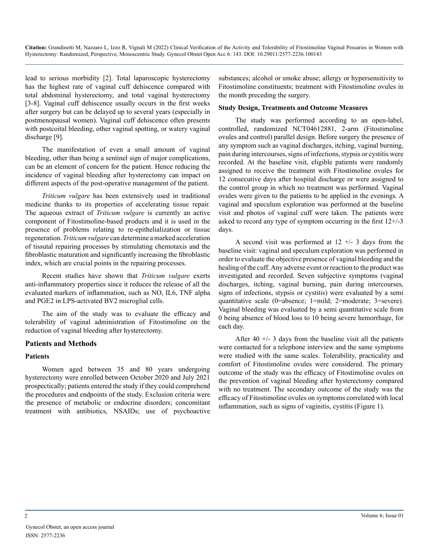lead to serious morbidity [2]. Total laparoscopic hysterectomy has the highest rate of vaginal cuff dehiscence compared with total abdominal hysterectomy, and total vaginal hysterectomy [3-8]. Vaginal cuff dehiscence usually occurs in the first weeks after surgery but can be delayed up to several years (especially in postmenopausal women). Vaginal cuff dehiscence often presents with postcoital bleeding, other vaginal spotting, or watery vaginal discharge [9].

The manifestation of even a small amount of vaginal bleeding, other than being a sentinel sign of major complications, can be an element of concern for the patient. Hence reducing the incidence of vaginal bleeding after hysterectomy can impact on different aspects of the post-operative management of the patient.

*Triticum vulgare* has been extensively used in traditional medicine thanks to its properties of accelerating tissue repair. The aqueous extract of *Triticum vulgare* is currently an active component of Fitostimoline-based products and it is used in the presence of problems relating to re-epithelialization or tissue regeneration. *Triticum vulgare* can determine a marked acceleration of tissutal repairing processes by stimulating chemotaxis and the fibroblastic maturation and significantly increasing the fibroblastic index, which are crucial points in the repairing processes.

Recent studies have shown that *Triticum vulgare* exerts anti-inflammatory properties since it reduces the release of all the evaluated markers of inflammation, such as NO, IL6, TNF alpha and PGE2 in LPS-activated BV2 microglial cells.

The aim of the study was to evaluate the efficacy and tolerability of vaginal administration of Fitostimoline on the reduction of vaginal bleeding after hysterectomy.

#### **Patients and Methods**

#### **Patients**

Women aged between 35 and 80 years undergoing hysterectomy were enrolled between October 2020 and July 2021 prospectically; patients entered the study if they could comprehend the procedures and endpoints of the study. Exclusion criteria were the presence of metabolic or endocrine disorders; concomitant treatment with antibiotics, NSAIDs; use of psychoactive

substances; alcohol or smoke abuse; allergy or hypersensitivity to Fitostimoline constituents; treatment with Fitostimoline ovules in the month preceding the surgery.

#### **Study Design, Treatments and Outcome Measures**

The study was performed according to an open-label, controlled, randomized NCT04612881, 2-arm (Fitostimoline ovules and control) parallel design. Before surgery the presence of any symptom such as vaginal discharges, itching, vaginal burning, pain during intercourses, signs of infections, stypsis or cystitis were recorded. At the baseline visit, eligible patients were randomly assigned to receive the treatment with Fitostimoline ovules for 12 consecutive days after hospital discharge or were assigned to the control group in which no treatment was performed. Vaginal ovules were given to the patients to be applied in the evenings. A vaginal and speculum exploration was performed at the baseline visit and photos of vaginal cuff were taken. The patients were asked to record any type of symptom occurring in the first 12+/-3 days.

A second visit was performed at  $12 +/- 3$  days from the baseline visit: vaginal and speculum exploration was performed in order to evaluate the objective presence of vaginal bleeding and the healing of the cuff. Any adverse event or reaction to the product was investigated and recorded. Seven subjective symptoms (vaginal discharges, itching, vaginal burning, pain during intercourses, signs of infections, stypsis or cystitis) were evaluated by a semi quantitative scale (0=absence; 1=mild; 2=moderate; 3=severe). Vaginal bleeding was evaluated by a semi quantitative scale from 0 being absence of blood loss to 10 being severe hemorrhage, for each day.

After 40  $+/-$  3 days from the baseline visit all the patients were contacted for a telephone interview and the same symptoms were studied with the same scales. Tolerability, practicality and comfort of Fitostimoline ovules were considered. The primary outcome of the study was the efficacy of Fitostimoline ovules on the prevention of vaginal bleeding after hysterectomy compared with no treatment. The secondary outcome of the study was the efficacy of Fitostimoline ovules on symptoms correlated with local inflammation, such as signs of vaginitis, cystitis (Figure 1).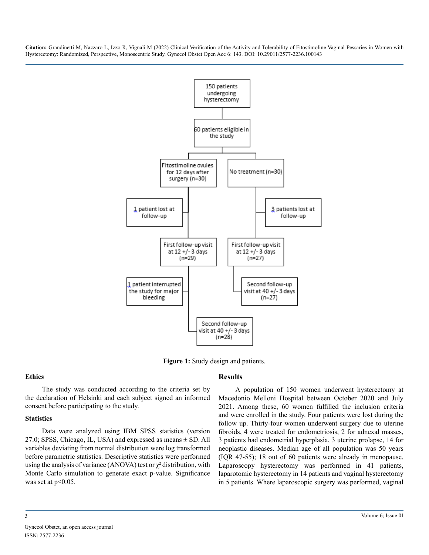

**Figure 1:** Study design and patients.

#### **Ethics**

The study was conducted according to the criteria set by the declaration of Helsinki and each subject signed an informed consent before participating to the study.

#### **Statistics**

Data were analyzed using IBM SPSS statistics (version 27.0; SPSS, Chicago, IL, USA) and expressed as means  $\pm$  SD. All variables deviating from normal distribution were log transformed before parametric statistics. Descriptive statistics were performed using the analysis of variance (ANOVA) test or  $\chi^2$  distribution, with Monte Carlo simulation to generate exact p-value. Significance was set at  $p<0.05$ .

#### **Results**

A population of 150 women underwent hysterectomy at Macedonio Melloni Hospital between October 2020 and July 2021. Among these, 60 women fulfilled the inclusion criteria and were enrolled in the study. Four patients were lost during the follow up. Thirty-four women underwent surgery due to uterine fibroids, 4 were treated for endometriosis, 2 for adnexal masses, 3 patients had endometrial hyperplasia, 3 uterine prolapse, 14 for neoplastic diseases. Median age of all population was 50 years (IQR 47-55); 18 out of 60 patients were already in menopause. Laparoscopy hysterectomy was performed in 41 patients, laparotomic hysterectomy in 14 patients and vaginal hysterectomy in 5 patients. Where laparoscopic surgery was performed, vaginal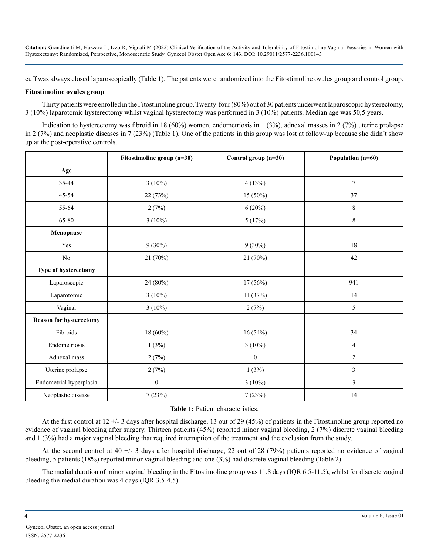cuff was always closed laparoscopically (Table 1). The patients were randomized into the Fitostimoline ovules group and control group.

#### **Fitostimoline ovules group**

Thirty patients were enrolled in the Fitostimoline group. Twenty-four (80%) out of 30 patients underwent laparoscopic hysterectomy, 3 (10%) laparotomic hysterectomy whilst vaginal hysterectomy was performed in 3 (10%) patients. Median age was 50,5 years.

Indication to hysterectomy was fibroid in 18 (60%) women, endometriosis in 1 (3%), adnexal masses in 2 (7%) uterine prolapse in 2 (7%) and neoplastic diseases in 7 (23%) (Table 1). One of the patients in this group was lost at follow-up because she didn't show up at the post-operative controls.

|                         | Fitostimoline group (n=30) | Control group (n=30) | Population (n=60) |
|-------------------------|----------------------------|----------------------|-------------------|
| Age                     |                            |                      |                   |
| 35-44                   | $3(10\%)$                  | 4(13%)               | $\tau$            |
| 45-54                   | 22 (73%)                   | 15 (50%)             | 37                |
| 55-64                   | 2(7%)                      | $6(20\%)$            | $8\,$             |
| 65-80                   | $3(10\%)$                  | 5(17%)               | $8\,$             |
| Menopause               |                            |                      |                   |
| Yes                     | $9(30\%)$                  | $9(30\%)$            | 18                |
| $\rm No$                | 21 (70%)                   | 21 (70%)             | 42                |
| Type of hysterectomy    |                            |                      |                   |
| Laparoscopic            | 24 (80%)                   | $17(56\%)$           | 941               |
| Laparotomic             | $3(10\%)$                  | 11(37%)              | 14                |
| Vaginal                 | $3(10\%)$                  | 2(7%)                | 5                 |
| Reason for hysterectomy |                            |                      |                   |
| Fibroids                | $18(60\%)$                 | 16(54%)              | 34                |
| Endometriosis           | 1(3%)                      | $3(10\%)$            | $\overline{4}$    |
| Adnexal mass            | 2(7%)                      | $\boldsymbol{0}$     | $\overline{2}$    |
| Uterine prolapse        | 2(7%)                      | 1(3%)                | 3                 |
| Endometrial hyperplasia | $\boldsymbol{0}$           | $3(10\%)$            | 3                 |
| Neoplastic disease      | 7(23%)                     | 7(23%)               | 14                |

#### **Table 1:** Patient characteristics.

At the first control at 12 +/- 3 days after hospital discharge, 13 out of 29 (45%) of patients in the Fitostimoline group reported no evidence of vaginal bleeding after surgery. Thirteen patients (45%) reported minor vaginal bleeding, 2 (7%) discrete vaginal bleeding and 1 (3%) had a major vaginal bleeding that required interruption of the treatment and the exclusion from the study.

At the second control at 40  $+/- 3$  days after hospital discharge, 22 out of 28 (79%) patients reported no evidence of vaginal bleeding, 5 patients (18%) reported minor vaginal bleeding and one (3%) had discrete vaginal bleeding (Table 2).

The medial duration of minor vaginal bleeding in the Fitostimoline group was 11.8 days (IQR 6.5-11.5), whilst for discrete vaginal bleeding the medial duration was 4 days (IQR 3.5-4.5).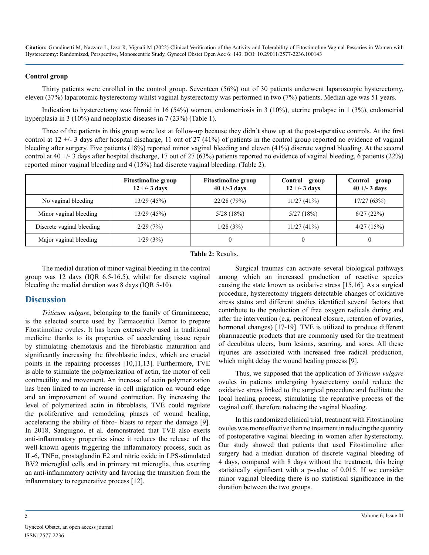#### **Control group**

Thirty patients were enrolled in the control group. Seventeen (56%) out of 30 patients underwent laparoscopic hysterectomy, eleven (37%) laparotomic hysterectomy whilst vaginal hysterectomy was performed in two (7%) patients. Median age was 51 years.

Indication to hysterectomy was fibroid in 16 (54%) women, endometriosis in 3 (10%), uterine prolapse in 1 (3%), endometrial hyperplasia in 3 (10%) and neoplastic diseases in 7 (23%) (Table 1).

Three of the patients in this group were lost at follow-up because they didn't show up at the post-operative controls. At the first control at 12 +/- 3 days after hospital discharge, 11 out of 27 (41%) of patients in the control group reported no evidence of vaginal bleeding after surgery. Five patients (18%) reported minor vaginal bleeding and eleven (41%) discrete vaginal bleeding. At the second control at 40  $+/-$  3 days after hospital discharge, 17 out of 27 (63%) patients reported no evidence of vaginal bleeding, 6 patients (22%) reported minor vaginal bleeding and 4 (15%) had discrete vaginal bleeding. (Table 2).

|                           | <b>Fitostimoline group</b><br>$12 + (-3)$ days | <b>Fitostimoline group</b><br>$40 + (-3)$ days | Control<br>group<br>$12 + (-3)$ days | Control<br>group<br>$40 + -3$ days |
|---------------------------|------------------------------------------------|------------------------------------------------|--------------------------------------|------------------------------------|
| No vaginal bleeding       | 13/29(45%)                                     | 22/28 (79%)                                    | 11/27(41%)                           | 17/27(63%)                         |
| Minor vaginal bleeding    | 13/29(45%)                                     | 5/28(18%)                                      | 5/27(18%)                            | 6/27(22%)                          |
| Discrete vaginal bleeding | 2/29(7%)                                       | 1/28(3%)                                       | 11/27(41%)                           | 4/27(15%)                          |
| Major vaginal bleeding    | 1/29(3%)                                       | $\theta$                                       |                                      |                                    |

#### **Table 2:** Results.

The medial duration of minor vaginal bleeding in the control group was 12 days (IQR 6.5-16.5), whilst for discrete vaginal bleeding the medial duration was 8 days (IQR 5-10).

#### **Discussion**

*Triticum vulgare*, belonging to the family of Graminaceae, is the selected source used by Farmaceutici Damor to prepare Fitostimoline ovules. It has been extensively used in traditional medicine thanks to its properties of accelerating tissue repair by stimulating chemotaxis and the fibroblastic maturation and significantly increasing the fibroblastic index, which are crucial points in the repairing processes [10,11,13]. Furthermore, TVE is able to stimulate the polymerization of actin, the motor of cell contractility and movement. An increase of actin polymerization has been linked to an increase in cell migration on wound edge and an improvement of wound contraction. By increasing the level of polymerized actin in fibroblasts, TVE could regulate the proliferative and remodeling phases of wound healing, accelerating the ability of fibro- blasts to repair the damage [9]. In 2018, Sanguigno, et al. demonstrated that TVE also exerts anti-inflammatory properties since it reduces the release of the well-known agents triggering the inflammatory process, such as IL-6, TNFα, prostaglandin E2 and nitric oxide in LPS-stimulated BV2 microglial cells and in primary rat microglia, thus exerting an anti-inflammatory activity and favoring the transition from the inflammatory to regenerative process [12].

Surgical traumas can activate several biological pathways among which an increased production of reactive species causing the state known as oxidative stress [15,16]. As a surgical procedure, hysterectomy triggers detectable changes of oxidative stress status and different studies identified several factors that contribute to the production of free oxygen radicals during and after the intervention (e.g. peritoneal closure, retention of ovaries, hormonal changes) [17-19]. TVE is utilized to produce different pharmaceutic products that are commonly used for the treatment of decubitus ulcers, burn lesions, scarring, and sores. All these injuries are associated with increased free radical production, which might delay the wound healing process [9].

Thus, we supposed that the application of *Triticum vulgare* ovules in patients undergoing hysterectomy could reduce the oxidative stress linked to the surgical procedure and facilitate the local healing process, stimulating the reparative process of the vaginal cuff, therefore reducing the vaginal bleeding.

In this randomized clinical trial, treatment with Fitostimoline ovules was more effective than no treatment in reducing the quantity of postoperative vaginal bleeding in women after hysterectomy. Our study showed that patients that used Fitostimoline after surgery had a median duration of discrete vaginal bleeding of 4 days, compared with 8 days without the treatment, this being statistically significant with a p-value of 0.015. If we consider minor vaginal bleeding there is no statistical significance in the duration between the two groups.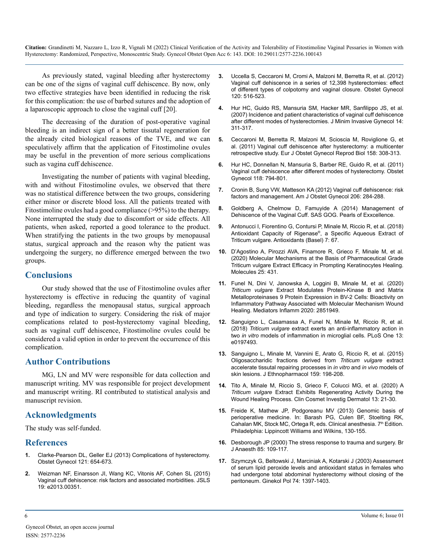As previously stated, vaginal bleeding after hysterectomy can be one of the signs of vaginal cuff dehiscence. By now, only two effective strategies have been identified in reducing the risk for this complication: the use of barbed sutures and the adoption of a laparoscopic approach to close the vaginal cuff [20].

The decreasing of the duration of post-operative vaginal bleeding is an indirect sign of a better tissutal regeneration for the already cited biological reasons of the TVE, and we can speculatively affirm that the application of Fitostimoline ovules may be useful in the prevention of more serious complications such as vagina cuff dehiscence.

Investigating the number of patients with vaginal bleeding, with and without Fitostimoline ovules, we observed that there was no statistical difference between the two groups, considering either minor or discrete blood loss. All the patients treated with Fitostimoline ovules had a good compliance (>95%) to the therapy. None interrupted the study due to discomfort or side effects. All patients, when asked, reported a good tolerance to the product. When stratifying the patients in the two groups by menopausal status, surgical approach and the reason why the patient was undergoing the surgery, no difference emerged between the two groups.

#### **Conclusions**

Our study showed that the use of Fitostimoline ovules after hysterectomy is effective in reducing the quantity of vaginal bleeding, regardless the menopausal status, surgical approach and type of indication to surgery. Considering the risk of major complications related to post-hysterectomy vaginal bleeding, such as vaginal cuff dehiscence, Fitostimoline ovules could be considered a valid option in order to prevent the occurrence of this complication.

#### **Author Contributions**

MG, LN and MV were responsible for data collection and manuscript writing. MV was responsible for project development and manuscript writing. RI contributed to statistical analysis and manuscript revision.

#### **Acknowledgments**

The study was self-funded.

#### **References**

- **1.** [Clarke-Pearson DL, Geller EJ \(2013\) Complications of hysterectomy.](https://pubmed.ncbi.nlm.nih.gov/23635631/)  [Obstet Gynecol 121: 654-673.](https://pubmed.ncbi.nlm.nih.gov/23635631/)
- **2.** [Weizman NF, Einarsson JI, Wang KC, Vitonis AF, Cohen SL \(2015\)](https://pubmed.ncbi.nlm.nih.gov/25901104/)  [Vaginal cuff dehiscence: risk factors and associated morbidities. JSLS](https://pubmed.ncbi.nlm.nih.gov/25901104/)  [19: e2013.00351.](https://pubmed.ncbi.nlm.nih.gov/25901104/)
- **3.** [Uccella S, Ceccaroni M, Cromi A, Malzoni M, Berretta R, et al. \(2012\)](https://pubmed.ncbi.nlm.nih.gov/22914459/)  [Vaginal cuff dehiscence in a series of 12,398 hysterectomies: effect](https://pubmed.ncbi.nlm.nih.gov/22914459/)  [of different types of colpotomy and vaginal closure. Obstet Gynecol](https://pubmed.ncbi.nlm.nih.gov/22914459/)  [120: 516-523.](https://pubmed.ncbi.nlm.nih.gov/22914459/)
- **4.** [Hur HC, Guido RS, Mansuria SM, Hacker MR, Sanfilippo JS, et al.](https://pubmed.ncbi.nlm.nih.gov/17478361/)  [\(2007\) Incidence and patient characteristics of vaginal cuff dehiscence](https://pubmed.ncbi.nlm.nih.gov/17478361/)  [after different modes of hysterectomies. J Minim Invasive Gynecol 14:](https://pubmed.ncbi.nlm.nih.gov/17478361/)  [311-317.](https://pubmed.ncbi.nlm.nih.gov/17478361/)
- **5.** [Ceccaroni M, Berretta R, Malzoni M, Scioscia M, Roviglione G, et](https://pubmed.ncbi.nlm.nih.gov/21723030/) [al. \(2011\) Vaginal cuff dehiscence after hysterectomy: a multicenter](https://pubmed.ncbi.nlm.nih.gov/21723030/)  [retrospective study. Eur J Obstet Gynecol Reprod Biol 158: 308-313.](https://pubmed.ncbi.nlm.nih.gov/21723030/)
- **6.** [Hur HC, Donnellan N, Mansuria S, Barber RE, Guido R, et al. \(2011\)](https://pubmed.ncbi.nlm.nih.gov/21934442/) [Vaginal cuff dehiscence after different modes of hysterectomy. Obstet](https://pubmed.ncbi.nlm.nih.gov/21934442/) [Gynecol 118: 794-801.](https://pubmed.ncbi.nlm.nih.gov/21934442/)
- **7.** [Cronin B, Sung VW, Matteson KA \(2012\) Vaginal cuff dehiscence: risk](https://pubmed.ncbi.nlm.nih.gov/21974989/)  [factors and management. Am J Obstet Gynecol 206: 284-288.](https://pubmed.ncbi.nlm.nih.gov/21974989/)
- **8.** [Goldberg A, Chelmow D, Famuyide A \(2014\) Management of](https://exxcellence.org/list-of-pearls/management-of-dehiscence-of-the-vaginal-cuff/#:~:text=Vaginal cuff dehiscence is a,antibiotics should be started immediately.) [Dehiscence of the Vaginal Cuff. SAS GOG. Pearls of Exxcellence.](https://exxcellence.org/list-of-pearls/management-of-dehiscence-of-the-vaginal-cuff/#:~:text=Vaginal cuff dehiscence is a,antibiotics should be started immediately.)
- **9.** [Antonucci I, Fiorentino G, Contursi P, Minale M, Riccio R, et al. \(2018\)](https://pubmed.ncbi.nlm.nih.gov/29772758/)  [Antioxidant Capacity of Rigenase®](https://pubmed.ncbi.nlm.nih.gov/29772758/), a Specific Aqueous Extract of [Triticum vulgare. Antioxidants \(Basel\) 7: 67.](https://pubmed.ncbi.nlm.nih.gov/29772758/)
- **10.** [D'Agostino A, Pirozzi AVA, Finamore R, Grieco F, Minale M, et al.](https://www.ncbi.nlm.nih.gov/pmc/articles/PMC7037555/) [\(2020\) Molecular Mechanisms at the Basis of Pharmaceutical Grade](https://www.ncbi.nlm.nih.gov/pmc/articles/PMC7037555/)  [Triticum vulgare Extract Efficacy in Prompting Keratinocytes Healing.](https://www.ncbi.nlm.nih.gov/pmc/articles/PMC7037555/)  [Molecules 25: 431.](https://www.ncbi.nlm.nih.gov/pmc/articles/PMC7037555/)
- **11.** [Funel N, Dini V, Janowska A, Loggini B, Minale M, et al. \(2020\)](https://pubmed.ncbi.nlm.nih.gov/32189993/)  *Triticum vulgare* [Extract Modulates Protein-Kinase B and Matrix](https://pubmed.ncbi.nlm.nih.gov/32189993/) [Metalloproteinases 9 Protein Expression in BV-2 Cells: Bioactivity on](https://pubmed.ncbi.nlm.nih.gov/32189993/)  [Inflammatory Pathway Associated with Molecular Mechanism Wound](https://pubmed.ncbi.nlm.nih.gov/32189993/)  [Healing. Mediators Inflamm 2020: 2851949.](https://pubmed.ncbi.nlm.nih.gov/32189993/)
- **12.** [Sanguigno L, Casamassa A, Funel N, Minale M, Riccio R, et al.](https://pubmed.ncbi.nlm.nih.gov/29902182/) (2018) *Triticum vulgare* [extract exerts an anti-inflammatory action in](https://pubmed.ncbi.nlm.nih.gov/29902182/) two *in vitro* [models of inflammation in microglial cells. PLoS One 13:](https://pubmed.ncbi.nlm.nih.gov/29902182/)  [e0197493.](https://pubmed.ncbi.nlm.nih.gov/29902182/)
- **13.** [Sanguigno L, Minale M, Vannini E, Arato G, Riccio R, et al. \(2015\)](https://pubmed.ncbi.nlm.nih.gov/25446580/) [Oligosaccharidic fractions derived from](https://pubmed.ncbi.nlm.nih.gov/25446580/) *Triticum vulgare* extract [accelerate tissutal repairing processes in](https://pubmed.ncbi.nlm.nih.gov/25446580/) *in vitro* and *in vivo* models of [skin lesions. J Ethnopharmacol 159: 198-208.](https://pubmed.ncbi.nlm.nih.gov/25446580/)
- **14.** [Tito A, Minale M, Riccio S, Grieco F, Colucci MG, et al. \(2020\) A](https://pubmed.ncbi.nlm.nih.gov/32021367/) *Triticum vulgare* [Extract Exhibits Regenerating Activity During the](https://pubmed.ncbi.nlm.nih.gov/32021367/)  [Wound Healing Process. Clin Cosmet Investig Dermatol 13: 21-30.](https://pubmed.ncbi.nlm.nih.gov/32021367/)
- **15.** [Freide K, Mathew JP, Podgoreanu MV \(2013\) Genomic basis of](https://www.berri.es/pdf/CLINICAL ANESTHESIA/9781451144192)  [perioperative medicine. In: Barash PG, Culen BF, Stoelting RK,](https://www.berri.es/pdf/CLINICAL ANESTHESIA/9781451144192)  Cahalan MK, Stock MC, Ortega R, eds. Clinical anesthesia. 7<sup>th</sup> Edition. [Philadelphia: Lippincott Williams and Wilkins, 130-155.](https://www.berri.es/pdf/CLINICAL ANESTHESIA/9781451144192)
- **16.** [Desborough JP \(2000\) The stress response to trauma and surgery. Br](https://pubmed.ncbi.nlm.nih.gov/10927999/)  [J Anaesth 85: 109-117.](https://pubmed.ncbi.nlm.nih.gov/10927999/)
- **17.** [Szymczyk G, Beltowski J, Marciniak A, Kotarski J \(2003\) Assessment](https://pubmed.ncbi.nlm.nih.gov/14669451/)  [of serum lipid peroxide levels and antioxidant status in females who](https://pubmed.ncbi.nlm.nih.gov/14669451/)  [had undergone total abdominal hysterectomy without closing of the](https://pubmed.ncbi.nlm.nih.gov/14669451/)  [peritoneum. Ginekol Pol 74: 1397-1403.](https://pubmed.ncbi.nlm.nih.gov/14669451/)